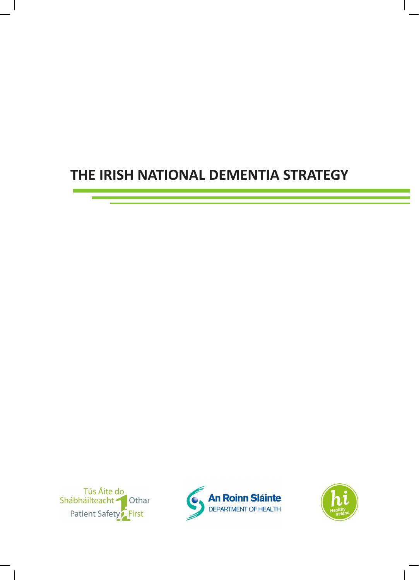# **THE IRISH NATIONAL DEMENTIA STRATEGY**





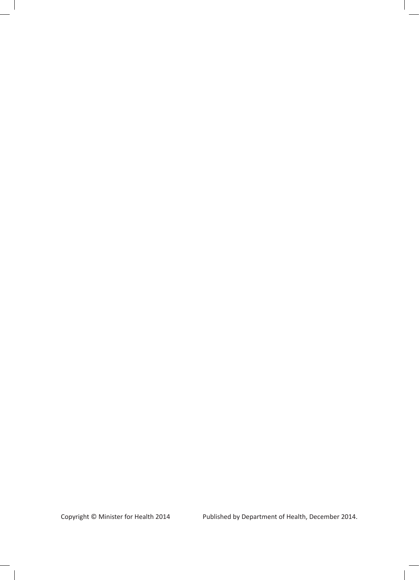Copyright © Minister for Health 2014 Published by Department of Health, December 2014.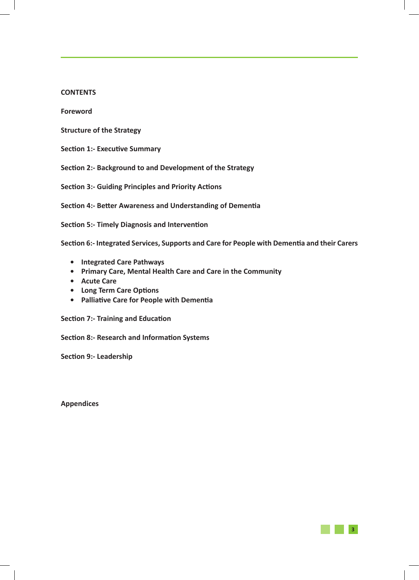#### **CONTENTS**

**Foreword**

- **Structure of the Strategy**
- **Section 1:- Executive Summary**
- **Section 2:- Background to and Development of the Strategy**

**Section 3:- Guiding Principles and Priority Actions**

**Section 4:- Better Awareness and Understanding of Dementia**

**Section 5:- Timely Diagnosis and Intervention**

**Section 6:- Integrated Services, Supports and Care for People with Dementia and their Carers**

**3**

- **• Integrated Care Pathways**
- **• Primary Care, Mental Health Care and Care in the Community**
- **• Acute Care**
- **• Long Term Care Options**
- **• Palliative Care for People with Dementia**

**Section 7:- Training and Education**

**Section 8:- Research and Information Systems**

**Section 9:- Leadership** 

**Appendices**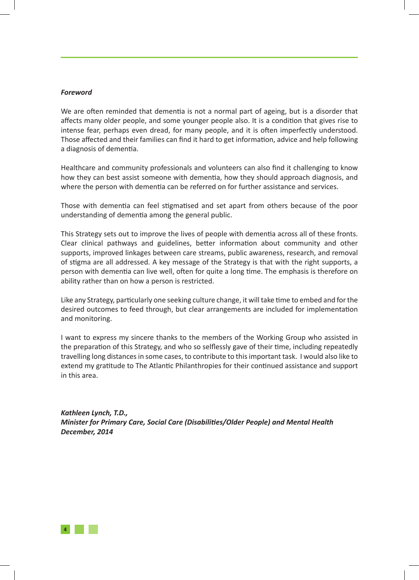#### *Foreword*

We are often reminded that dementia is not a normal part of ageing, but is a disorder that affects many older people, and some younger people also. It is a condition that gives rise to intense fear, perhaps even dread, for many people, and it is often imperfectly understood. Those affected and their families can find it hard to get information, advice and help following a diagnosis of dementia.

Healthcare and community professionals and volunteers can also find it challenging to know how they can best assist someone with dementia, how they should approach diagnosis, and where the person with dementia can be referred on for further assistance and services.

Those with dementia can feel stigmatised and set apart from others because of the poor understanding of dementia among the general public.

This Strategy sets out to improve the lives of people with dementia across all of these fronts. Clear clinical pathways and guidelines, better information about community and other supports, improved linkages between care streams, public awareness, research, and removal of stigma are all addressed. A key message of the Strategy is that with the right supports, a person with dementia can live well, often for quite a long time. The emphasis is therefore on ability rather than on how a person is restricted.

Like any Strategy, particularly one seeking culture change, it will take time to embed and for the desired outcomes to feed through, but clear arrangements are included for implementation and monitoring.

I want to express my sincere thanks to the members of the Working Group who assisted in the preparation of this Strategy, and who so selflessly gave of their time, including repeatedly travelling long distances in some cases, to contribute to this important task. I would also like to extend my gratitude to The Atlantic Philanthropies for their continued assistance and support in this area.

*Kathleen Lynch, T.D., Minister for Primary Care, Social Care (Disabilities/Older People) and Mental Health December, 2014*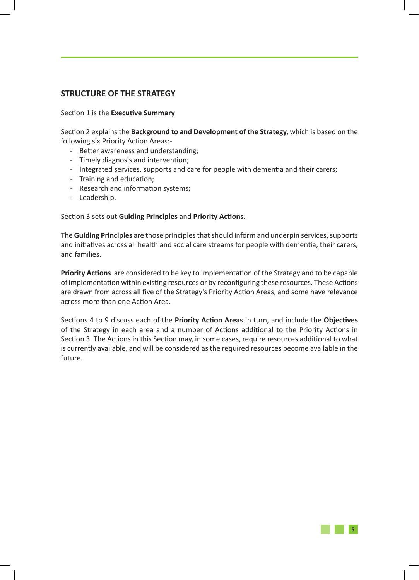## **STRUCTURE OF THE STRATEGY**

#### Section 1 is the **Executive Summary**

Section 2 explains the **Background to and Development of the Strategy,** which is based on the following six Priority Action Areas:-

- Better awareness and understanding;
- Timely diagnosis and intervention;
- Integrated services, supports and care for people with dementia and their carers;
- Training and education;
- Research and information systems;
- Leadership.

#### Section 3 sets out **Guiding Principles** and **Priority Actions.**

The **Guiding Principles** are those principles that should inform and underpin services, supports and initiatives across all health and social care streams for people with dementia, their carers, and families.

**Priority Actions** are considered to be key to implementation of the Strategy and to be capable of implementation within existing resources or by reconfiguring these resources. These Actions are drawn from across all five of the Strategy's Priority Action Areas, and some have relevance across more than one Action Area.

Sections 4 to 9 discuss each of the **Priority Action Areas** in turn, and include the **Objectives** of the Strategy in each area and a number of Actions additional to the Priority Actions in Section 3. The Actions in this Section may, in some cases, require resources additional to what is currently available, and will be considered as the required resources become available in the future.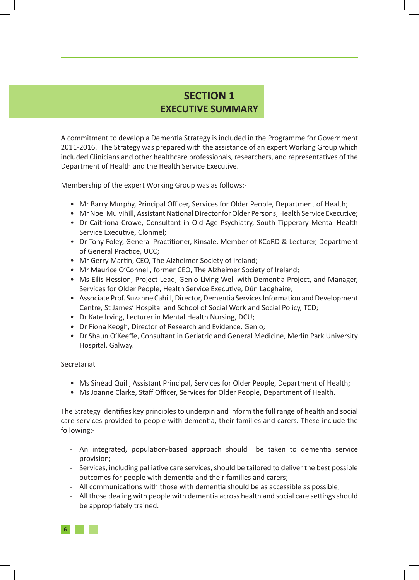## **SECTION 1 EXECUTIVE SUMMARY**

A commitment to develop a Dementia Strategy is included in the Programme for Government 2011-2016. The Strategy was prepared with the assistance of an expert Working Group which included Clinicians and other healthcare professionals, researchers, and representatives of the Department of Health and the Health Service Executive.

Membership of the expert Working Group was as follows:-

- Mr Barry Murphy, Principal Officer, Services for Older People, Department of Health;
- Mr Noel Mulvihill, Assistant National Director for Older Persons, Health Service Executive;
- Dr Caitriona Crowe, Consultant in Old Age Psychiatry, South Tipperary Mental Health Service Executive, Clonmel;
- Dr Tony Foley, General Practitioner, Kinsale, Member of KCoRD & Lecturer, Department of General Practice, UCC;
- Mr Gerry Martin, CEO, The Alzheimer Society of Ireland;
- Mr Maurice O'Connell, former CEO, The Alzheimer Society of Ireland;
- Ms Eilis Hession, Project Lead, Genio Living Well with Dementia Project, and Manager, Services for Older People, Health Service Executive, Dún Laoghaire;
- Associate Prof. Suzanne Cahill, Director, Dementia Services Information and Development Centre, St James' Hospital and School of Social Work and Social Policy, TCD;
- Dr Kate Irving, Lecturer in Mental Health Nursing, DCU;
- Dr Fiona Keogh, Director of Research and Evidence, Genio;
- Dr Shaun O'Keeffe, Consultant in Geriatric and General Medicine, Merlin Park University Hospital, Galway.

#### Secretariat

- Ms Sinéad Quill, Assistant Principal, Services for Older People, Department of Health;
- Ms Joanne Clarke, Staff Officer, Services for Older People, Department of Health.

The Strategy identifies key principles to underpin and inform the full range of health and social care services provided to people with dementia, their families and carers. These include the following:-

- An integrated, population-based approach should be taken to dementia service provision;
- Services, including palliative care services, should be tailored to deliver the best possible outcomes for people with dementia and their families and carers;
- All communications with those with dementia should be as accessible as possible;
- All those dealing with people with dementia across health and social care settings should be appropriately trained.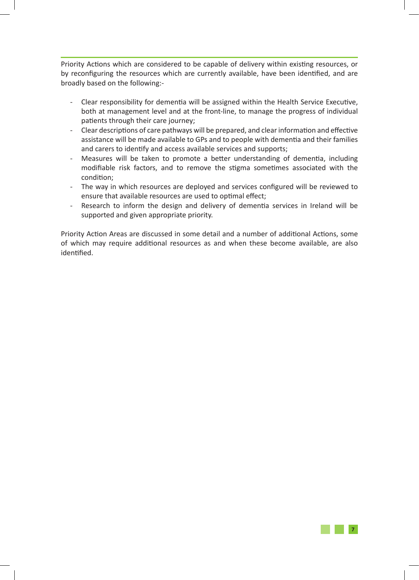Priority Actions which are considered to be capable of delivery within existing resources, or by reconfiguring the resources which are currently available, have been identified, and are broadly based on the following:-

- Clear responsibility for dementia will be assigned within the Health Service Executive, both at management level and at the front-line, to manage the progress of individual patients through their care journey;
- Clear descriptions of care pathways will be prepared, and clear information and effective assistance will be made available to GPs and to people with dementia and their families and carers to identify and access available services and supports;
- Measures will be taken to promote a better understanding of dementia, including modifiable risk factors, and to remove the stigma sometimes associated with the condition;
- The way in which resources are deployed and services configured will be reviewed to ensure that available resources are used to optimal effect;
- Research to inform the design and delivery of dementia services in Ireland will be supported and given appropriate priority.

Priority Action Areas are discussed in some detail and a number of additional Actions, some of which may require additional resources as and when these become available, are also identified.

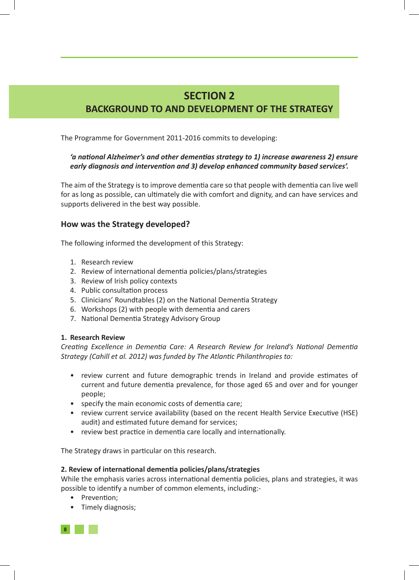## **SECTION 2 BACKGROUND TO AND DEVELOPMENT OF THE STRATEGY**

The Programme for Government 2011-2016 commits to developing:

## *'a national Alzheimer's and other dementias strategy to 1) increase awareness 2) ensure early diagnosis and intervention and 3) develop enhanced community based services'.*

The aim of the Strategy is to improve dementia care so that people with dementia can live well for as long as possible, can ultimately die with comfort and dignity, and can have services and supports delivered in the best way possible.

## **How was the Strategy developed?**

The following informed the development of this Strategy:

- 1. Research review
- 2. Review of international dementia policies/plans/strategies
- 3. Review of Irish policy contexts
- 4. Public consultation process
- 5. Clinicians' Roundtables (2) on the National Dementia Strategy
- 6. Workshops (2) with people with dementia and carers
- 7. National Dementia Strategy Advisory Group

#### **1. Research Review**

*Creating Excellence in Dementia Care: A Research Review for Ireland's National Dementia Strategy (Cahill et al. 2012) was funded by The Atlantic Philanthropies to:*

- review current and future demographic trends in Ireland and provide estimates of current and future dementia prevalence, for those aged 65 and over and for younger people;
- specify the main economic costs of dementia care;
- review current service availability (based on the recent Health Service Executive (HSE) audit) and estimated future demand for services;
- review best practice in dementia care locally and internationally.

The Strategy draws in particular on this research.

#### **2. Review of international dementia policies/plans/strategies**

While the emphasis varies across international dementia policies, plans and strategies, it was possible to identify a number of common elements, including:-

- Prevention;
- Timely diagnosis;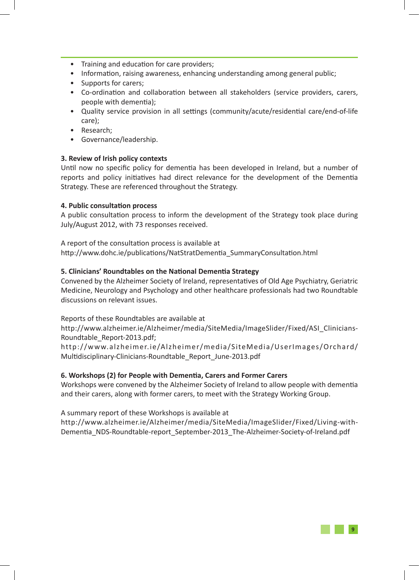- Training and education for care providers;
- Information, raising awareness, enhancing understanding among general public;
- Supports for carers;
- Co-ordination and collaboration between all stakeholders (service providers, carers, people with dementia);
- Quality service provision in all settings (community/acute/residential care/end-of-life care);
- Research;
- Governance/leadership.

### **3. Review of Irish policy contexts**

Until now no specific policy for dementia has been developed in Ireland, but a number of reports and policy initiatives had direct relevance for the development of the Dementia Strategy. These are referenced throughout the Strategy.

#### **4. Public consultation process**

A public consultation process to inform the development of the Strategy took place during July/August 2012, with 73 responses received.

A report of the consultation process is available at http://www.dohc.ie/publications/NatStratDementia\_SummaryConsultation.html

### **5. Clinicians' Roundtables on the National Dementia Strategy**

Convened by the Alzheimer Society of Ireland, representatives of Old Age Psychiatry, Geriatric Medicine, Neurology and Psychology and other healthcare professionals had two Roundtable discussions on relevant issues.

Reports of these Roundtables are available at

http://www.alzheimer.ie/Alzheimer/media/SiteMedia/ImageSlider/Fixed/ASI\_Clinicians-Roundtable\_Report-2013.pdf;

http://www.alzheimer.ie/Alzheimer/media/SiteMedia/UserImages/Orchard/ Multidisciplinary-Clinicians-Roundtable\_Report\_June-2013.pdf

#### **6. Workshops (2) for People with Dementia, Carers and Former Carers**

Workshops were convened by the Alzheimer Society of Ireland to allow people with dementia and their carers, along with former carers, to meet with the Strategy Working Group.

A summary report of these Workshops is available at

http://www.alzheimer.ie/Alzheimer/media/SiteMedia/ImageSlider/Fixed/Living-with-Dementia\_NDS-Roundtable-report\_September-2013\_The-Alzheimer-Society-of-Ireland.pdf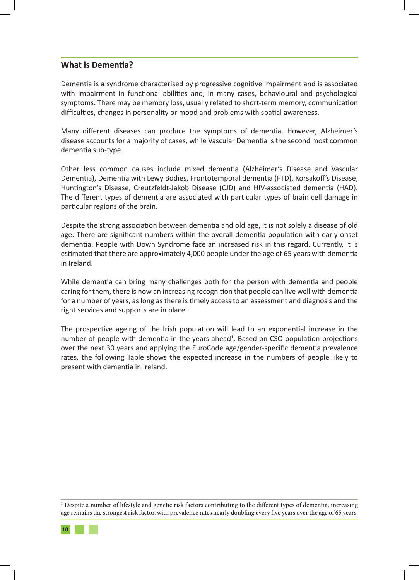## **What is Dementia?**

Dementia is a syndrome characterised by progressive cognitive impairment and is associated with impairment in functional abilities and, in many cases, behavioural and psychological symptoms. There may be memory loss, usually related to short-term memory, communication difficulties, changes in personality or mood and problems with spatial awareness.

Many different diseases can produce the symptoms of dementia. However, Alzheimer's disease accounts for a majority of cases, while Vascular Dementia is the second most common dementia sub-type.

Other less common causes include mixed dementia (Alzheimer's Disease and Vascular Dementia), Dementia with Lewy Bodies, Frontotemporal dementia (FTD), Korsakoff's Disease, Huntington's Disease, Creutzfeldt-Jakob Disease (CJD) and HIV-associated dementia (HAD). The different types of dementia are associated with particular types of brain cell damage in particular regions of the brain.

Despite the strong association between dementia and old age, it is not solely a disease of old age. There are significant numbers within the overall dementia population with early onset dementia. People with Down Syndrome face an increased risk in this regard. Currently, it is estimated that there are approximately 4,000 people under the age of 65 years with dementia in Ireland.

While dementia can bring many challenges both for the person with dementia and people caring for them, there is now an increasing recognition that people can live well with dementia for a number of years, as long as there is timely access to an assessment and diagnosis and the right services and supports are in place.

The prospective ageing of the Irish population will lead to an exponential increase in the number of people with dementia in the years ahead<sup>1</sup>. Based on CSO population projections over the next 30 years and applying the EuroCode age/gender-specific dementia prevalence rates, the following Table shows the expected increase in the numbers of people likely to present with dementia in Ireland.

<sup>1</sup> Despite a number of lifestyle and genetic risk factors contributing to the different types of dementia, increasing age remains the strongest risk factor, with prevalence rates nearly doubling every five years over the age of 65 years.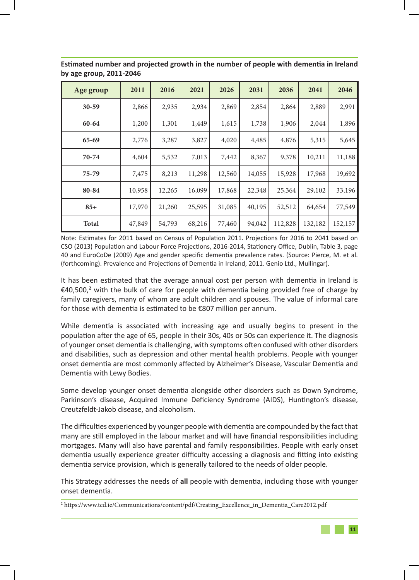| Age group    | 2011   | 2016   | 2021   | 2026   | 2031   | 2036    | 2041    | 2046    |
|--------------|--------|--------|--------|--------|--------|---------|---------|---------|
| $30 - 59$    | 2,866  | 2,935  | 2,934  | 2,869  | 2,854  | 2,864   | 2,889   | 2,991   |
| 60-64        | 1,200  | 1,301  | 1,449  | 1,615  | 1,738  | 1,906   | 2,044   | 1,896   |
| $65 - 69$    | 2,776  | 3,287  | 3,827  | 4,020  | 4,485  | 4,876   | 5,315   | 5,645   |
| 70-74        | 4,604  | 5,532  | 7,013  | 7,442  | 8,367  | 9,378   | 10,211  | 11,188  |
| 75-79        | 7,475  | 8,213  | 11,298 | 12,560 | 14,055 | 15,928  | 17,968  | 19,692  |
| 80-84        | 10,958 | 12,265 | 16,099 | 17,868 | 22,348 | 25,364  | 29,102  | 33,196  |
| $85+$        | 17,970 | 21,260 | 25,595 | 31,085 | 40,195 | 52,512  | 64,654  | 77,549  |
| <b>Total</b> | 47,849 | 54,793 | 68,216 | 77,460 | 94,042 | 112,828 | 132,182 | 152,157 |

**Estimated number and projected growth in the number of people with dementia in Ireland by age group, 2011-2046** 

Note: Estimates for 2011 based on Census of Population 2011. Projections for 2016 to 2041 based on CSO (2013) Population and Labour Force Projections, 2016-2014, Stationery Office, Dublin, Table 3, page 40 and EuroCoDe (2009) Age and gender specific dementia prevalence rates. (Source: Pierce, M. et al. (forthcoming). Prevalence and Projections of Dementia in Ireland, 2011. Genio Ltd., Mullingar).

It has been estimated that the average annual cost per person with dementia in Ireland is  $\epsilon$ 40,500,<sup>2</sup> with the bulk of care for people with dementia being provided free of charge by family caregivers, many of whom are adult children and spouses. The value of informal care for those with dementia is estimated to be €807 million per annum.

While dementia is associated with increasing age and usually begins to present in the population after the age of 65, people in their 30s, 40s or 50s can experience it. The diagnosis of younger onset dementia is challenging, with symptoms often confused with other disorders and disabilities, such as depression and other mental health problems. People with younger onset dementia are most commonly affected by Alzheimer's Disease, Vascular Dementia and Dementia with Lewy Bodies.

Some develop younger onset dementia alongside other disorders such as Down Syndrome, Parkinson's disease, Acquired Immune Deficiency Syndrome (AIDS), Huntington's disease, Creutzfeldt-Jakob disease, and alcoholism.

The difficulties experienced by younger people with dementia are compounded by the fact that many are still employed in the labour market and will have financial responsibilities including mortgages. Many will also have parental and family responsibilities. People with early onset dementia usually experience greater difficulty accessing a diagnosis and fitting into existing dementia service provision, which is generally tailored to the needs of older people.

This Strategy addresses the needs of **all** people with dementia, including those with younger onset dementia.

<sup>2</sup> https://www.tcd.ie/Communications/content/pdf/Creating\_Excellence\_in\_Dementia\_Care2012.pdf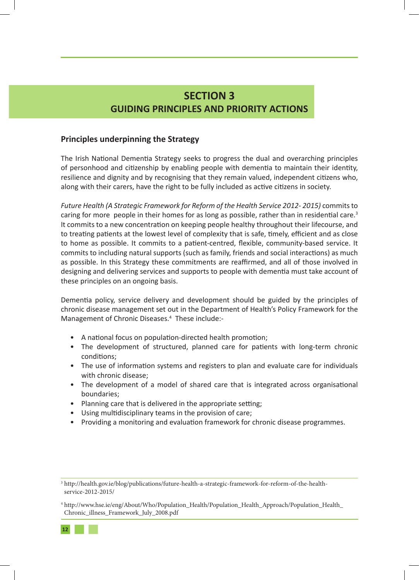## **SECTION 3 GUIDING PRINCIPLES AND PRIORITY ACTIONS**

## **Principles underpinning the Strategy**

The Irish National Dementia Strategy seeks to progress the dual and overarching principles of personhood and citizenship by enabling people with dementia to maintain their identity, resilience and dignity and by recognising that they remain valued, independent citizens who, along with their carers, have the right to be fully included as active citizens in society.

*Future Health (A Strategic Framework for Reform of the Health Service 2012- 2015)* commits to caring for more people in their homes for as long as possible, rather than in residential care.<sup>3</sup> It commits to a new concentration on keeping people healthy throughout their lifecourse, and to treating patients at the lowest level of complexity that is safe, timely, efficient and as close to home as possible. It commits to a patient-centred, flexible, community-based service. It commits to including natural supports (such as family, friends and social interactions) as much as possible. In this Strategy these commitments are reaffirmed, and all of those involved in designing and delivering services and supports to people with dementia must take account of these principles on an ongoing basis.

Dementia policy, service delivery and development should be guided by the principles of chronic disease management set out in the Department of Health's Policy Framework for the Management of Chronic Diseases.<sup>4</sup> These include:-

- A national focus on population-directed health promotion;
- The development of structured, planned care for patients with long-term chronic conditions;
- The use of information systems and registers to plan and evaluate care for individuals with chronic disease;
- The development of a model of shared care that is integrated across organisational boundaries;
- Planning care that is delivered in the appropriate setting;
- Using multidisciplinary teams in the provision of care;
- Providing a monitoring and evaluation framework for chronic disease programmes.

<sup>3</sup> http://health.gov.ie/blog/publications/future-health-a-strategic-framework-for-reform-of-the-healthservice-2012-2015/

<sup>4</sup> http://www.hse.ie/eng/About/Who/Population\_Health/Population\_Health\_Approach/Population\_Health\_ Chronic\_illness\_Framework\_July\_2008.pdf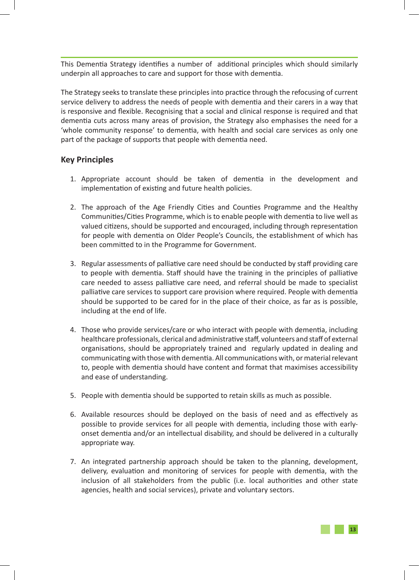This Dementia Strategy identifies a number of additional principles which should similarly underpin all approaches to care and support for those with dementia.

The Strategy seeks to translate these principles into practice through the refocusing of current service delivery to address the needs of people with dementia and their carers in a way that is responsive and flexible. Recognising that a social and clinical response is required and that dementia cuts across many areas of provision, the Strategy also emphasises the need for a 'whole community response' to dementia, with health and social care services as only one part of the package of supports that people with dementia need.

## **Key Principles**

- 1. Appropriate account should be taken of dementia in the development and implementation of existing and future health policies.
- 2. The approach of the Age Friendly Cities and Counties Programme and the Healthy Communities/Cities Programme, which is to enable people with dementia to live well as valued citizens, should be supported and encouraged, including through representation for people with dementia on Older People's Councils, the establishment of which has been committed to in the Programme for Government.
- 3. Regular assessments of palliative care need should be conducted by staff providing care to people with dementia. Staff should have the training in the principles of palliative care needed to assess palliative care need, and referral should be made to specialist palliative care services to support care provision where required. People with dementia should be supported to be cared for in the place of their choice, as far as is possible, including at the end of life.
- 4. Those who provide services/care or who interact with people with dementia, including healthcare professionals, clerical and administrative staff, volunteers and staff of external organisations, should be appropriately trained and regularly updated in dealing and communicating with those with dementia. All communications with, or material relevant to, people with dementia should have content and format that maximises accessibility and ease of understanding.
- 5. People with dementia should be supported to retain skills as much as possible.
- 6. Available resources should be deployed on the basis of need and as effectively as possible to provide services for all people with dementia, including those with earlyonset dementia and/or an intellectual disability, and should be delivered in a culturally appropriate way.
- 7. An integrated partnership approach should be taken to the planning, development, delivery, evaluation and monitoring of services for people with dementia, with the inclusion of all stakeholders from the public (i.e. local authorities and other state agencies, health and social services), private and voluntary sectors.

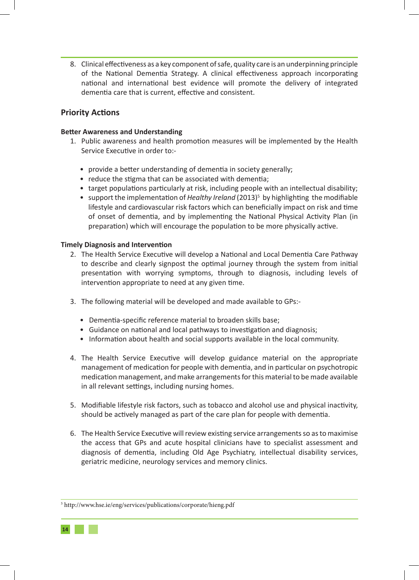8. Clinical effectiveness as a key component of safe, quality care is an underpinning principle of the National Dementia Strategy. A clinical effectiveness approach incorporating national and international best evidence will promote the delivery of integrated dementia care that is current, effective and consistent.

## **Priority Actions**

### **Better Awareness and Understanding**

- 1. Public awareness and health promotion measures will be implemented by the Health Service Executive in order to:-
	- provide a better understanding of dementia in society generally;
	- reduce the stigma that can be associated with dementia;
	- target populations particularly at risk, including people with an intellectual disability;
	- support the implementation of *Healthy Ireland* (2013)<sup>5</sup> by highlighting the modifiable lifestyle and cardiovascular risk factors which can beneficially impact on risk and time of onset of dementia, and by implementing the National Physical Activity Plan (in preparation) which will encourage the population to be more physically active.

### **Timely Diagnosis and Intervention**

- 2. The Health Service Executive will develop a National and Local Dementia Care Pathway to describe and clearly signpost the optimal journey through the system from initial presentation with worrying symptoms, through to diagnosis, including levels of intervention appropriate to need at any given time.
- 3. The following material will be developed and made available to GPs:-
	- Dementia-specific reference material to broaden skills base;
	- Guidance on national and local pathways to investigation and diagnosis;
	- Information about health and social supports available in the local community.
- 4. The Health Service Executive will develop guidance material on the appropriate management of medication for people with dementia, and in particular on psychotropic medication management, and make arrangements for this material to be made available in all relevant settings, including nursing homes.
- 5. Modifiable lifestyle risk factors, such as tobacco and alcohol use and physical inactivity, should be actively managed as part of the care plan for people with dementia.
- 6. The Health Service Executive will review existing service arrangements so as to maximise the access that GPs and acute hospital clinicians have to specialist assessment and diagnosis of dementia, including Old Age Psychiatry, intellectual disability services, geriatric medicine, neurology services and memory clinics.

<sup>5</sup> http://www.hse.ie/eng/services/publications/corporate/hieng.pdf

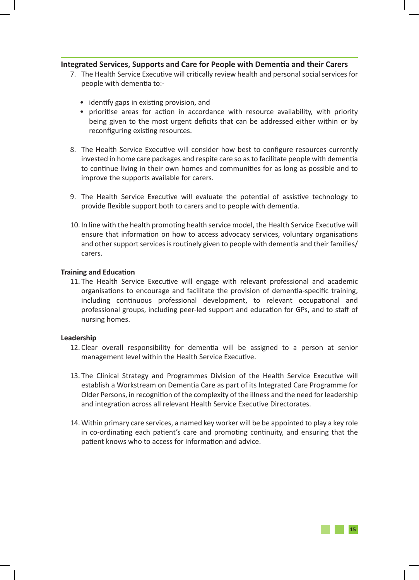### **Integrated Services, Supports and Care for People with Dementia and their Carers**

- 7. The Health Service Executive will critically review health and personal social services for people with dementia to:-
	- identify gaps in existing provision, and
	- prioritise areas for action in accordance with resource availability, with priority being given to the most urgent deficits that can be addressed either within or by reconfiguring existing resources.
- 8. The Health Service Executive will consider how best to configure resources currently invested in home care packages and respite care so as to facilitate people with dementia to continue living in their own homes and communities for as long as possible and to improve the supports available for carers.
- 9. The Health Service Executive will evaluate the potential of assistive technology to provide flexible support both to carers and to people with dementia.
- 10. In line with the health promoting health service model, the Health Service Executive will ensure that information on how to access advocacy services, voluntary organisations and other support services is routinely given to people with dementia and their families/ carers.

#### **Training and Education**

11. The Health Service Executive will engage with relevant professional and academic organisations to encourage and facilitate the provision of dementia-specific training, including continuous professional development, to relevant occupational and professional groups, including peer-led support and education for GPs, and to staff of nursing homes.

#### **Leadership**

- 12. Clear overall responsibility for dementia will be assigned to a person at senior management level within the Health Service Executive.
- 13. The Clinical Strategy and Programmes Division of the Health Service Executive will establish a Workstream on Dementia Care as part of its Integrated Care Programme for Older Persons, in recognition of the complexity of the illness and the need for leadership and integration across all relevant Health Service Executive Directorates.
- 14. Within primary care services, a named key worker will be be appointed to play a key role in co-ordinating each patient's care and promoting continuity, and ensuring that the patient knows who to access for information and advice.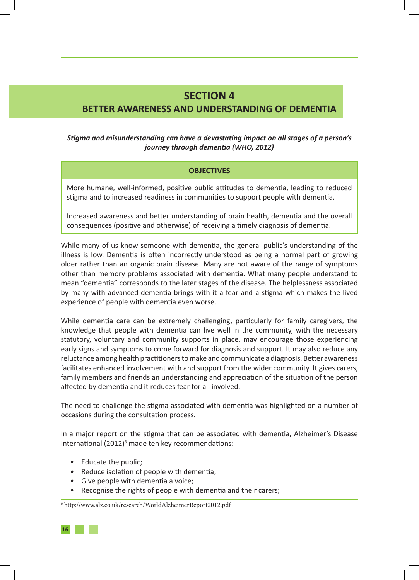## **SECTION 4 BETTER AWARENESS AND UNDERSTANDING OF DEMENTIA**

## *Stigma and misunderstanding can have a devastating impact on all stages of a person's journey through dementia (WHO, 2012)*

### **OBJECTIVES**

More humane, well-informed, positive public attitudes to dementia, leading to reduced stigma and to increased readiness in communities to support people with dementia.

Increased awareness and better understanding of brain health, dementia and the overall consequences (positive and otherwise) of receiving a timely diagnosis of dementia.

While many of us know someone with dementia, the general public's understanding of the illness is low. Dementia is often incorrectly understood as being a normal part of growing older rather than an organic brain disease. Many are not aware of the range of symptoms other than memory problems associated with dementia. What many people understand to mean "dementia" corresponds to the later stages of the disease. The helplessness associated by many with advanced dementia brings with it a fear and a stigma which makes the lived experience of people with dementia even worse.

While dementia care can be extremely challenging, particularly for family caregivers, the knowledge that people with dementia can live well in the community, with the necessary statutory, voluntary and community supports in place, may encourage those experiencing early signs and symptoms to come forward for diagnosis and support. It may also reduce any reluctance among health practitioners to make and communicate a diagnosis. Better awareness facilitates enhanced involvement with and support from the wider community. It gives carers, family members and friends an understanding and appreciation of the situation of the person affected by dementia and it reduces fear for all involved.

The need to challenge the stigma associated with dementia was highlighted on a number of occasions during the consultation process.

In a major report on the stigma that can be associated with dementia, Alzheimer's Disease International (2012)<sup>6</sup> made ten key recommendations:-

- Educate the public;
- Reduce isolation of people with dementia;
- Give people with dementia a voice;
- Recognise the rights of people with dementia and their carers;

6 http://www.alz.co.uk/research/WorldAlzheimerReport2012.pdf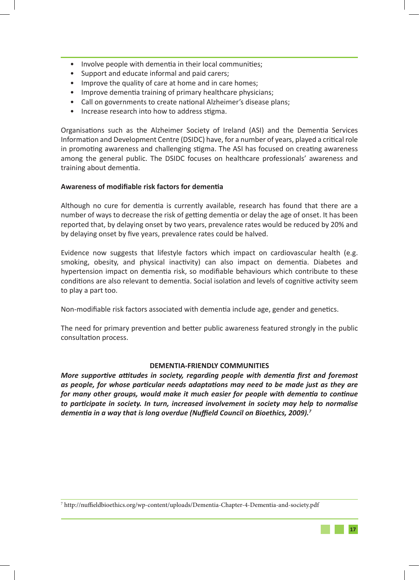- Involve people with dementia in their local communities;
- Support and educate informal and paid carers;
- Improve the quality of care at home and in care homes;
- Improve dementia training of primary healthcare physicians;
- Call on governments to create national Alzheimer's disease plans;
- Increase research into how to address stigma.

Organisations such as the Alzheimer Society of Ireland (ASI) and the Dementia Services Information and Development Centre (DSIDC) have, for a number of years, played a critical role in promoting awareness and challenging stigma. The ASI has focused on creating awareness among the general public. The DSIDC focuses on healthcare professionals' awareness and training about dementia.

#### **Awareness of modifiable risk factors for dementia**

Although no cure for dementia is currently available, research has found that there are a number of ways to decrease the risk of getting dementia or delay the age of onset. It has been reported that, by delaying onset by two years, prevalence rates would be reduced by 20% and by delaying onset by five years, prevalence rates could be halved.

Evidence now suggests that lifestyle factors which impact on cardiovascular health (e.g. smoking, obesity, and physical inactivity) can also impact on dementia. Diabetes and hypertension impact on dementia risk, so modifiable behaviours which contribute to these conditions are also relevant to dementia. Social isolation and levels of cognitive activity seem to play a part too.

Non-modifiable risk factors associated with dementia include age, gender and genetics.

The need for primary prevention and better public awareness featured strongly in the public consultation process.

#### **DEMENTIA-FRIENDLY COMMUNITIES**

*More supportive attitudes in society, regarding people with dementia first and foremost as people, for whose particular needs adaptations may need to be made just as they are for many other groups, would make it much easier for people with dementia to continue to participate in society. In turn, increased involvement in society may help to normalise dementia in a way that is long overdue (Nuffield Council on Bioethics, 2009).<sup>7</sup>*

<sup>7</sup> http://nuffieldbioethics.org/wp-content/uploads/Dementia-Chapter-4-Dementia-and-society.pdf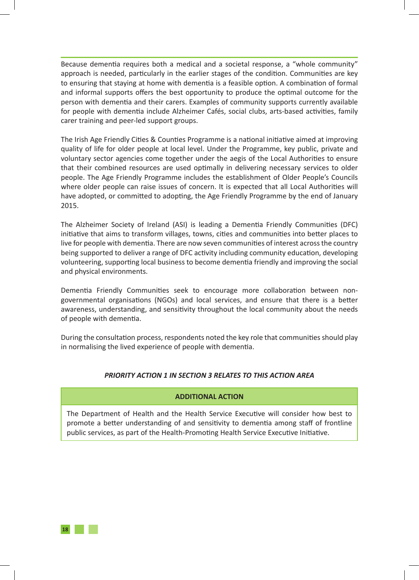Because dementia requires both a medical and a societal response, a "whole community" approach is needed, particularly in the earlier stages of the condition. Communities are key to ensuring that staying at home with dementia is a feasible option. A combination of formal and informal supports offers the best opportunity to produce the optimal outcome for the person with dementia and their carers. Examples of community supports currently available for people with dementia include Alzheimer Cafés, social clubs, arts-based activities, family carer training and peer-led support groups.

The Irish Age Friendly Cities & Counties Programme is a national initiative aimed at improving quality of life for older people at local level. Under the Programme, key public, private and voluntary sector agencies come together under the aegis of the Local Authorities to ensure that their combined resources are used optimally in delivering necessary services to older people. The Age Friendly Programme includes the establishment of Older People's Councils where older people can raise issues of concern. It is expected that all Local Authorities will have adopted, or committed to adopting, the Age Friendly Programme by the end of January 2015.

The Alzheimer Society of Ireland (ASI) is leading a Dementia Friendly Communities (DFC) initiative that aims to transform villages, towns, cities and communities into better places to live for people with dementia. There are now seven communities of interest across the country being supported to deliver a range of DFC activity including community education, developing volunteering, supporting local business to become dementia friendly and improving the social and physical environments.

Dementia Friendly Communities seek to encourage more collaboration between nongovernmental organisations (NGOs) and local services, and ensure that there is a better awareness, understanding, and sensitivity throughout the local community about the needs of people with dementia.

During the consultation process, respondents noted the key role that communities should play in normalising the lived experience of people with dementia.

## *PRIORITY ACTION 1 IN SECTION 3 RELATES TO THIS ACTION AREA*

## **ADDITIONAL ACTION**

The Department of Health and the Health Service Executive will consider how best to promote a better understanding of and sensitivity to dementia among staff of frontline public services, as part of the Health-Promoting Health Service Executive Initiative.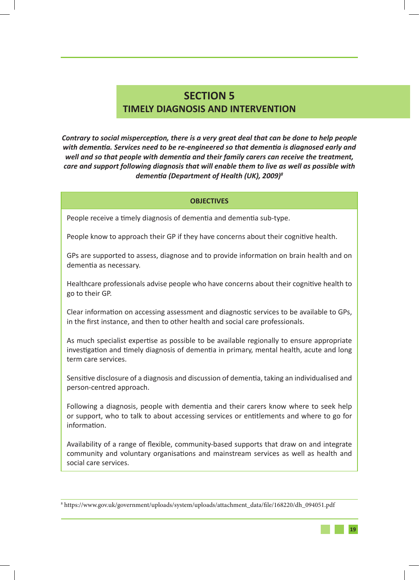## **SECTION 5 TIMELY DIAGNOSIS AND INTERVENTION**

*Contrary to social misperception, there is a very great deal that can be done to help people with dementia. Services need to be re-engineered so that dementia is diagnosed early and well and so that people with dementia and their family carers can receive the treatment, care and support following diagnosis that will enable them to live as well as possible with dementia (Department of Health (UK), 2009)<sup>8</sup>*

#### **OBJECTIVES**

People receive a timely diagnosis of dementia and dementia sub-type.

People know to approach their GP if they have concerns about their cognitive health.

GPs are supported to assess, diagnose and to provide information on brain health and on dementia as necessary.

Healthcare professionals advise people who have concerns about their cognitive health to go to their GP.

Clear information on accessing assessment and diagnostic services to be available to GPs, in the first instance, and then to other health and social care professionals.

As much specialist expertise as possible to be available regionally to ensure appropriate investigation and timely diagnosis of dementia in primary, mental health, acute and long term care services.

Sensitive disclosure of a diagnosis and discussion of dementia, taking an individualised and person-centred approach.

Following a diagnosis, people with dementia and their carers know where to seek help or support, who to talk to about accessing services or entitlements and where to go for information.

Availability of a range of flexible, community-based supports that draw on and integrate community and voluntary organisations and mainstream services as well as health and social care services.

<sup>8</sup> https://www.gov.uk/government/uploads/system/uploads/attachment\_data/file/168220/dh\_094051.pdf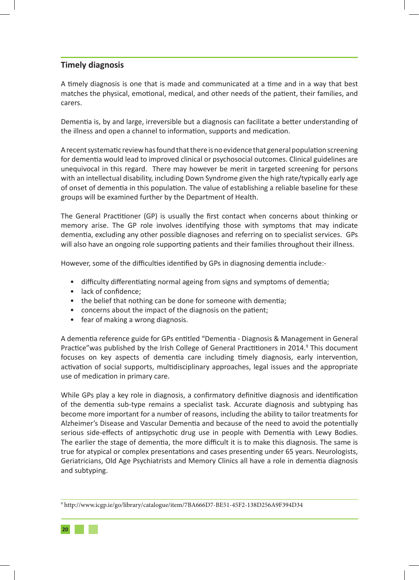## **Timely diagnosis**

A timely diagnosis is one that is made and communicated at a time and in a way that best matches the physical, emotional, medical, and other needs of the patient, their families, and carers.

Dementia is, by and large, irreversible but a diagnosis can facilitate a better understanding of the illness and open a channel to information, supports and medication.

A recent systematic review has found that there is no evidence that general population screening for dementia would lead to improved clinical or psychosocial outcomes. Clinical guidelines are unequivocal in this regard. There may however be merit in targeted screening for persons with an intellectual disability, including Down Syndrome given the high rate/typically early age of onset of dementia in this population. The value of establishing a reliable baseline for these groups will be examined further by the Department of Health.

The General Practitioner (GP) is usually the first contact when concerns about thinking or memory arise. The GP role involves identifying those with symptoms that may indicate dementia, excluding any other possible diagnoses and referring on to specialist services. GPs will also have an ongoing role supporting patients and their families throughout their illness.

However, some of the difficulties identified by GPs in diagnosing dementia include:-

- difficulty differentiating normal ageing from signs and symptoms of dementia;
- lack of confidence;
- the belief that nothing can be done for someone with dementia;
- concerns about the impact of the diagnosis on the patient;
- fear of making a wrong diagnosis.

A dementia reference guide for GPs entitled "Dementia - Diagnosis & Management in General Practice" was published by the Irish College of General Practitioners in 2014.<sup>9</sup> This document focuses on key aspects of dementia care including timely diagnosis, early intervention, activation of social supports, multidisciplinary approaches, legal issues and the appropriate use of medication in primary care.

While GPs play a key role in diagnosis, a confirmatory definitive diagnosis and identification of the dementia sub-type remains a specialist task. Accurate diagnosis and subtyping has become more important for a number of reasons, including the ability to tailor treatments for Alzheimer's Disease and Vascular Dementia and because of the need to avoid the potentially serious side-effects of antipsychotic drug use in people with Dementia with Lewy Bodies. The earlier the stage of dementia, the more difficult it is to make this diagnosis. The same is true for atypical or complex presentations and cases presenting under 65 years. Neurologists, Geriatricians, Old Age Psychiatrists and Memory Clinics all have a role in dementia diagnosis and subtyping.

<sup>9</sup> http://www.icgp.ie/go/library/catalogue/item/7BA666D7-BE51-45F2-138D256A9F394D34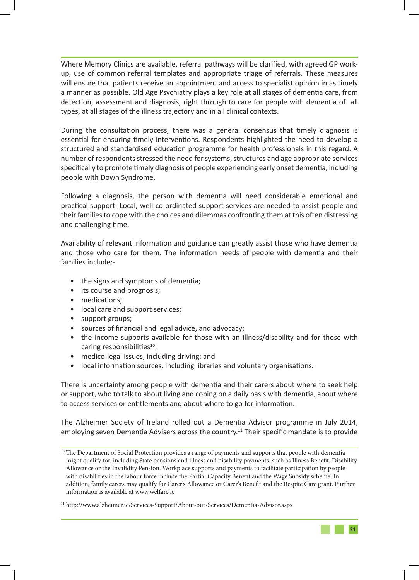Where Memory Clinics are available, referral pathways will be clarified, with agreed GP workup, use of common referral templates and appropriate triage of referrals. These measures will ensure that patients receive an appointment and access to specialist opinion in as timely a manner as possible. Old Age Psychiatry plays a key role at all stages of dementia care, from detection, assessment and diagnosis, right through to care for people with dementia of all types, at all stages of the illness trajectory and in all clinical contexts.

During the consultation process, there was a general consensus that timely diagnosis is essential for ensuring timely interventions. Respondents highlighted the need to develop a structured and standardised education programme for health professionals in this regard. A number of respondents stressed the need for systems, structures and age appropriate services specifically to promote timely diagnosis of people experiencing early onset dementia, including people with Down Syndrome.

Following a diagnosis, the person with dementia will need considerable emotional and practical support. Local, well-co-ordinated support services are needed to assist people and their families to cope with the choices and dilemmas confronting them at this often distressing and challenging time.

Availability of relevant information and guidance can greatly assist those who have dementia and those who care for them. The information needs of people with dementia and their families include:-

- the signs and symptoms of dementia;
- its course and prognosis;
- medications;
- local care and support services;
- support groups;
- sources of financial and legal advice, and advocacy;
- the income supports available for those with an illness/disability and for those with caring responsibilities $10$ ;
- medico-legal issues, including driving; and
- local information sources, including libraries and voluntary organisations.

There is uncertainty among people with dementia and their carers about where to seek help or support, who to talk to about living and coping on a daily basis with dementia, about where to access services or entitlements and about where to go for information.

The Alzheimer Society of Ireland rolled out a Dementia Advisor programme in July 2014, employing seven Dementia Advisers across the country.<sup>11</sup> Their specific mandate is to provide

<sup>&</sup>lt;sup>10</sup> The Department of Social Protection provides a range of payments and supports that people with dementia might qualify for, including State pensions and illness and disability payments, such as Illness Benefit, Disability Allowance or the Invalidity Pension. Workplace supports and payments to facilitate participation by people with disabilities in the labour force include the Partial Capacity Benefit and the Wage Subsidy scheme. In addition, family carers may qualify for Carer's Allowance or Carer's Benefit and the Respite Care grant. Further information is available at www.welfare.ie

<sup>11</sup> http://www.alzheimer.ie/Services-Support/About-our-Services/Dementia-Advisor.aspx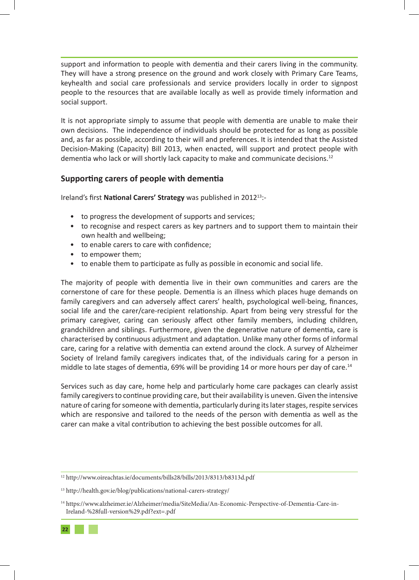support and information to people with dementia and their carers living in the community. They will have a strong presence on the ground and work closely with Primary Care Teams, keyhealth and social care professionals and service providers locally in order to signpost people to the resources that are available locally as well as provide timely information and social support.

It is not appropriate simply to assume that people with dementia are unable to make their own decisions. The independence of individuals should be protected for as long as possible and, as far as possible, according to their will and preferences. It is intended that the Assisted Decision-Making (Capacity) Bill 2013, when enacted, will support and protect people with dementia who lack or will shortly lack capacity to make and communicate decisions.<sup>12</sup>

## **Supporting carers of people with dementia**

Ireland's first **National Carers' Strategy** was published in 201213:-

- to progress the development of supports and services;
- to recognise and respect carers as key partners and to support them to maintain their own health and wellbeing;
- to enable carers to care with confidence;
- to empower them;
- to enable them to participate as fully as possible in economic and social life.

The majority of people with dementia live in their own communities and carers are the cornerstone of care for these people. Dementia is an illness which places huge demands on family caregivers and can adversely affect carers' health, psychological well-being, finances, social life and the carer/care-recipient relationship. Apart from being very stressful for the primary caregiver, caring can seriously affect other family members, including children, grandchildren and siblings. Furthermore, given the degenerative nature of dementia, care is characterised by continuous adjustment and adaptation. Unlike many other forms of informal care, caring for a relative with dementia can extend around the clock. A survey of Alzheimer Society of Ireland family caregivers indicates that, of the individuals caring for a person in middle to late stages of dementia, 69% will be providing 14 or more hours per day of care.<sup>14</sup>

Services such as day care, home help and particularly home care packages can clearly assist family caregivers to continue providing care, but their availability is uneven. Given the intensive nature of caring for someone with dementia, particularly during its later stages, respite services which are responsive and tailored to the needs of the person with dementia as well as the carer can make a vital contribution to achieving the best possible outcomes for all.

<sup>12</sup> http://www.oireachtas.ie/documents/bills28/bills/2013/8313/b8313d.pdf

<sup>13</sup> http://health.gov.ie/blog/publications/national-carers-strategy/

<sup>14</sup> https://www.alzheimer.ie/Alzheimer/media/SiteMedia/An-Economic-Perspective-of-Dementia-Care-in-Ireland-%28full-version%29.pdf?ext=.pdf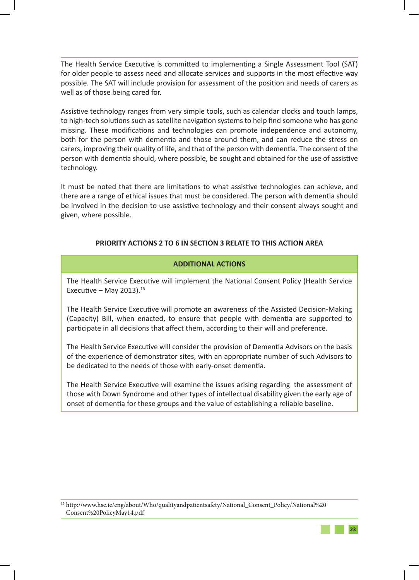The Health Service Executive is committed to implementing a Single Assessment Tool (SAT) for older people to assess need and allocate services and supports in the most effective way possible. The SAT will include provision for assessment of the position and needs of carers as well as of those being cared for.

Assistive technology ranges from very simple tools, such as calendar clocks and touch lamps, to high-tech solutions such as satellite navigation systems to help find someone who has gone missing. These modifications and technologies can promote independence and autonomy, both for the person with dementia and those around them, and can reduce the stress on carers, improving their quality of life, and that of the person with dementia. The consent of the person with dementia should, where possible, be sought and obtained for the use of assistive technology.

It must be noted that there are limitations to what assistive technologies can achieve, and there are a range of ethical issues that must be considered. The person with dementia should be involved in the decision to use assistive technology and their consent always sought and given, where possible.

## **PRIORITY ACTIONS 2 TO 6 IN SECTION 3 RELATE TO THIS ACTION AREA**

## **ADDITIONAL ACTIONS**

The Health Service Executive will implement the National Consent Policy (Health Service Executive – May 2013). $15$ 

The Health Service Executive will promote an awareness of the Assisted Decision-Making (Capacity) Bill, when enacted, to ensure that people with dementia are supported to participate in all decisions that affect them, according to their will and preference.

The Health Service Executive will consider the provision of Dementia Advisors on the basis of the experience of demonstrator sites, with an appropriate number of such Advisors to be dedicated to the needs of those with early-onset dementia.

The Health Service Executive will examine the issues arising regarding the assessment of those with Down Syndrome and other types of intellectual disability given the early age of onset of dementia for these groups and the value of establishing a reliable baseline.

<sup>15</sup> http://www.hse.ie/eng/about/Who/qualityandpatientsafety/National\_Consent\_Policy/National%20 Consent%20PolicyMay14.pdf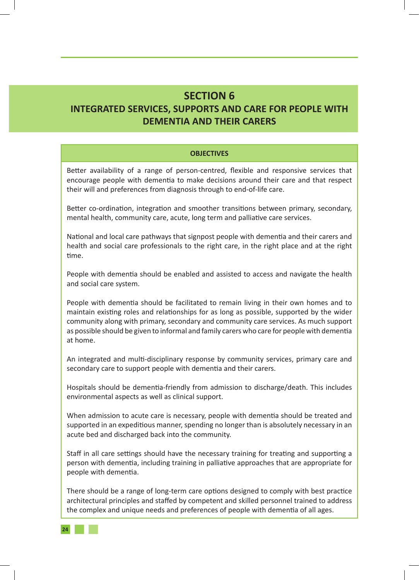## **SECTION 6 INTEGRATED SERVICES, SUPPORTS AND CARE FOR PEOPLE WITH DEMENTIA AND THEIR CARERS**

#### **OBJECTIVES**

Better availability of a range of person-centred, flexible and responsive services that encourage people with dementia to make decisions around their care and that respect their will and preferences from diagnosis through to end-of-life care.

Better co-ordination, integration and smoother transitions between primary, secondary, mental health, community care, acute, long term and palliative care services.

National and local care pathways that signpost people with dementia and their carers and health and social care professionals to the right care, in the right place and at the right time.

People with dementia should be enabled and assisted to access and navigate the health and social care system.

People with dementia should be facilitated to remain living in their own homes and to maintain existing roles and relationships for as long as possible, supported by the wider community along with primary, secondary and community care services. As much support as possible should be given to informal and family carers who care for people with dementia at home.

An integrated and multi-disciplinary response by community services, primary care and secondary care to support people with dementia and their carers.

Hospitals should be dementia-friendly from admission to discharge/death. This includes environmental aspects as well as clinical support.

When admission to acute care is necessary, people with dementia should be treated and supported in an expeditious manner, spending no longer than is absolutely necessary in an acute bed and discharged back into the community.

Staff in all care settings should have the necessary training for treating and supporting a person with dementia, including training in palliative approaches that are appropriate for people with dementia.

There should be a range of long-term care options designed to comply with best practice architectural principles and staffed by competent and skilled personnel trained to address the complex and unique needs and preferences of people with dementia of all ages.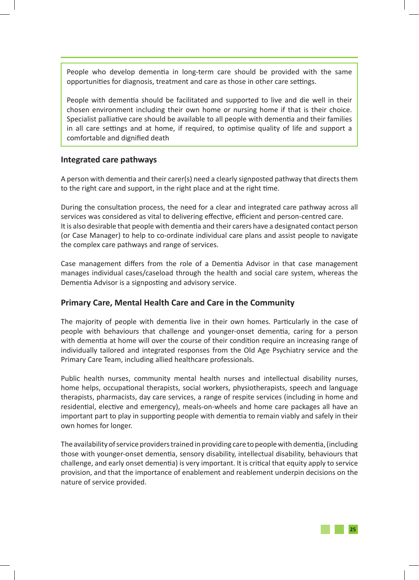People who develop dementia in long-term care should be provided with the same opportunities for diagnosis, treatment and care as those in other care settings.

People with dementia should be facilitated and supported to live and die well in their chosen environment including their own home or nursing home if that is their choice. Specialist palliative care should be available to all people with dementia and their families in all care settings and at home, if required, to optimise quality of life and support a comfortable and dignified death

## **Integrated care pathways**

A person with dementia and their carer(s) need a clearly signposted pathway that directs them to the right care and support, in the right place and at the right time.

During the consultation process, the need for a clear and integrated care pathway across all services was considered as vital to delivering effective, efficient and person-centred care. It is also desirable that people with dementia and their carers have a designated contact person (or Case Manager) to help to co-ordinate individual care plans and assist people to navigate the complex care pathways and range of services.

Case management differs from the role of a Dementia Advisor in that case management manages individual cases/caseload through the health and social care system, whereas the Dementia Advisor is a signposting and advisory service.

## **Primary Care, Mental Health Care and Care in the Community**

The majority of people with dementia live in their own homes. Particularly in the case of people with behaviours that challenge and younger-onset dementia, caring for a person with dementia at home will over the course of their condition require an increasing range of individually tailored and integrated responses from the Old Age Psychiatry service and the Primary Care Team, including allied healthcare professionals.

Public health nurses, community mental health nurses and intellectual disability nurses, home helps, occupational therapists, social workers, physiotherapists, speech and language therapists, pharmacists, day care services, a range of respite services (including in home and residential, elective and emergency), meals-on-wheels and home care packages all have an important part to play in supporting people with dementia to remain viably and safely in their own homes for longer.

The availability of service providers trained in providing care to people with dementia, (including those with younger-onset dementia, sensory disability, intellectual disability, behaviours that challenge, and early onset dementia) is very important. It is critical that equity apply to service provision, and that the importance of enablement and reablement underpin decisions on the nature of service provided.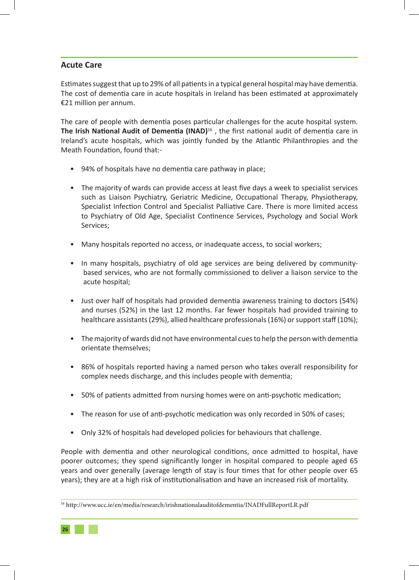## **Acute Care**

Estimates suggest that up to 29% of all patients in a typical general hospital may have dementia. The cost of dementia care in acute hospitals in Ireland has been estimated at approximately €21 million per annum.

The care of people with dementia poses particular challenges for the acute hospital system. **The Irish National Audit of Dementia (INAD)**16 , the first national audit of dementia care in Ireland's acute hospitals, which was jointly funded by the Atlantic Philanthropies and the Meath Foundation, found that:-

- 94% of hospitals have no dementia care pathway in place;
- The majority of wards can provide access at least five days a week to specialist services such as Liaison Psychiatry, Geriatric Medicine, Occupational Therapy, Physiotherapy, Specialist Infection Control and Specialist Palliative Care. There is more limited access to Psychiatry of Old Age, Specialist Continence Services, Psychology and Social Work Services;
- Many hospitals reported no access, or inadequate access, to social workers;
- In many hospitals, psychiatry of old age services are being delivered by communitybased services, who are not formally commissioned to deliver a liaison service to the acute hospital;
- Just over half of hospitals had provided dementia awareness training to doctors (54%) and nurses (52%) in the last 12 months. Far fewer hospitals had provided training to healthcare assistants (29%), allied healthcare professionals (16%) or support staff (10%);
- The majority of wards did not have environmental cues to help the person with dementia orientate themselves;
- 86% of hospitals reported having a named person who takes overall responsibility for complex needs discharge, and this includes people with dementia;
- 50% of patients admitted from nursing homes were on anti-psychotic medication;
- The reason for use of anti-psychotic medication was only recorded in 50% of cases;
- Only 32% of hospitals had developed policies for behaviours that challenge.

People with dementia and other neurological conditions, once admitted to hospital, have poorer outcomes; they spend significantly longer in hospital compared to people aged 65 years and over generally (average length of stay is four times that for other people over 65 years); they are at a high risk of institutionalisation and have an increased risk of mortality.

<sup>16</sup> http://www.ucc.ie/en/media/research/irishnationalauditofdementia/INADFullReportLR.pdf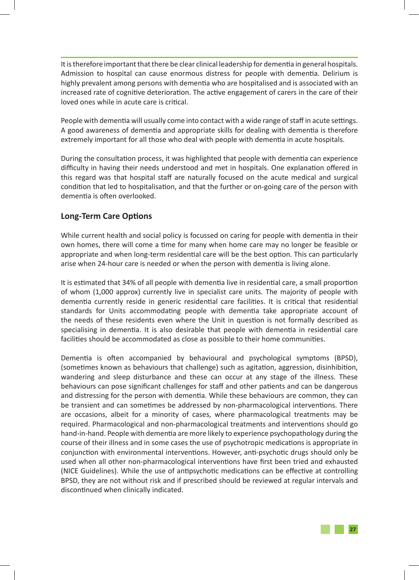It is therefore important that there be clear clinical leadership for dementia in general hospitals. Admission to hospital can cause enormous distress for people with dementia. Delirium is highly prevalent among persons with dementia who are hospitalised and is associated with an increased rate of cognitive deterioration. The active engagement of carers in the care of their loved ones while in acute care is critical.

People with dementia will usually come into contact with a wide range of staff in acute settings. A good awareness of dementia and appropriate skills for dealing with dementia is therefore extremely important for all those who deal with people with dementia in acute hospitals.

During the consultation process, it was highlighted that people with dementia can experience difficulty in having their needs understood and met in hospitals. One explanation offered in this regard was that hospital staff are naturally focused on the acute medical and surgical condition that led to hospitalisation, and that the further or on‐going care of the person with dementia is often overlooked.

## **Long-Term Care Options**

While current health and social policy is focussed on caring for people with dementia in their own homes, there will come a time for many when home care may no longer be feasible or appropriate and when long-term residential care will be the best option. This can particularly arise when 24-hour care is needed or when the person with dementia is living alone.

It is estimated that 34% of all people with dementia live in residential care, a small proportion of whom (1,000 approx) currently live in specialist care units. The majority of people with dementia currently reside in generic residential care facilities. It is critical that residential standards for Units accommodating people with dementia take appropriate account of the needs of these residents even where the Unit in question is not formally described as specialising in dementia. It is also desirable that people with dementia in residential care facilities should be accommodated as close as possible to their home communities.

Dementia is often accompanied by behavioural and psychological symptoms (BPSD), (sometimes known as behaviours that challenge) such as agitation, aggression, disinhibition, wandering and sleep disturbance and these can occur at any stage of the illness. These behaviours can pose significant challenges for staff and other patients and can be dangerous and distressing for the person with dementia. While these behaviours are common, they can be transient and can sometimes be addressed by non-pharmacological interventions. There are occasions, albeit for a minority of cases, where pharmacological treatments may be required. Pharmacological and non-pharmacological treatments and interventions should go hand-in-hand. People with dementia are more likely to experience psychopathology during the course of their illness and in some cases the use of psychotropic medications is appropriate in conjunction with environmental interventions. However, anti-psychotic drugs should only be used when all other non-pharmacological interventions have first been tried and exhausted (NICE Guidelines). While the use of antipsychotic medications can be effective at controlling BPSD, they are not without risk and if prescribed should be reviewed at regular intervals and discontinued when clinically indicated.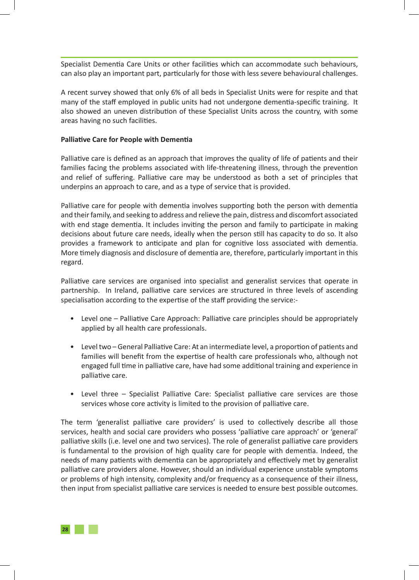Specialist Dementia Care Units or other facilities which can accommodate such behaviours, can also play an important part, particularly for those with less severe behavioural challenges.

A recent survey showed that only 6% of all beds in Specialist Units were for respite and that many of the staff employed in public units had not undergone dementia-specific training. It also showed an uneven distribution of these Specialist Units across the country, with some areas having no such facilities.

#### **Palliative Care for People with Dementia**

Palliative care is defined as an approach that improves the quality of life of patients and their families facing the problems associated with life-threatening illness, through the prevention and relief of suffering. Palliative care may be understood as both a set of principles that underpins an approach to care, and as a type of service that is provided.

Palliative care for people with dementia involves supporting both the person with dementia and their family, and seeking to address and relieve the pain, distress and discomfort associated with end stage dementia. It includes inviting the person and family to participate in making decisions about future care needs, ideally when the person still has capacity to do so. It also provides a framework to anticipate and plan for cognitive loss associated with dementia. More timely diagnosis and disclosure of dementia are, therefore, particularly important in this regard.

Palliative care services are organised into specialist and generalist services that operate in partnership. In Ireland, palliative care services are structured in three levels of ascending specialisation according to the expertise of the staff providing the service:-

- Level one Palliative Care Approach: Palliative care principles should be appropriately applied by all health care professionals.
- Level two General Palliative Care: At an intermediate level, a proportion of patients and families will benefit from the expertise of health care professionals who, although not engaged full time in palliative care, have had some additional training and experience in palliative care.
- Level three Specialist Palliative Care: Specialist palliative care services are those services whose core activity is limited to the provision of palliative care.

The term 'generalist palliative care providers' is used to collectively describe all those services, health and social care providers who possess 'palliative care approach' or 'general' palliative skills (i.e. level one and two services). The role of generalist palliative care providers is fundamental to the provision of high quality care for people with dementia. Indeed, the needs of many patients with dementia can be appropriately and effectively met by generalist palliative care providers alone. However, should an individual experience unstable symptoms or problems of high intensity, complexity and/or frequency as a consequence of their illness, then input from specialist palliative care services is needed to ensure best possible outcomes.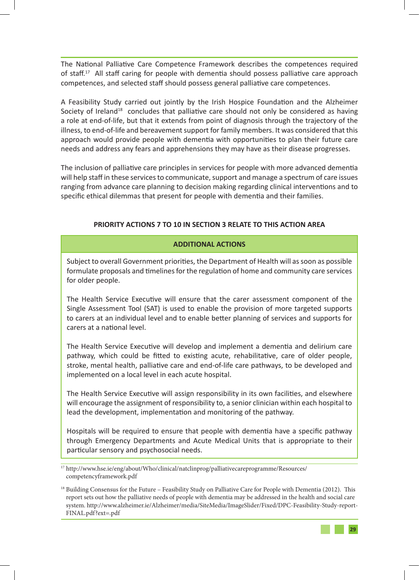The National Palliative Care Competence Framework describes the competences required of staff.<sup>17</sup> All staff caring for people with dementia should possess palliative care approach competences, and selected staff should possess general palliative care competences.

A Feasibility Study carried out jointly by the Irish Hospice Foundation and the Alzheimer Society of Ireland<sup>18</sup> concludes that palliative care should not only be considered as having a role at end-of-life, but that it extends from point of diagnosis through the trajectory of the illness, to end-of-life and bereavement support for family members. It was considered that this approach would provide people with dementia with opportunities to plan their future care needs and address any fears and apprehensions they may have as their disease progresses.

The inclusion of palliative care principles in services for people with more advanced dementia will help staff in these services to communicate, support and manage a spectrum of care issues ranging from advance care planning to decision making regarding clinical interventions and to specific ethical dilemmas that present for people with dementia and their families.

## **PRIORITY ACTIONS 7 TO 10 IN SECTION 3 RELATE TO THIS ACTION AREA**

## **ADDITIONAL ACTIONS**

Subject to overall Government priorities, the Department of Health will as soon as possible formulate proposals and timelines for the regulation of home and community care services for older people.

The Health Service Executive will ensure that the carer assessment component of the Single Assessment Tool (SAT) is used to enable the provision of more targeted supports to carers at an individual level and to enable better planning of services and supports for carers at a national level.

The Health Service Executive will develop and implement a dementia and delirium care pathway, which could be fitted to existing acute, rehabilitative, care of older people, stroke, mental health, palliative care and end-of-life care pathways, to be developed and implemented on a local level in each acute hospital.

The Health Service Executive will assign responsibility in its own facilities, and elsewhere will encourage the assignment of responsibility to, a senior clinician within each hospital to lead the development, implementation and monitoring of the pathway.

Hospitals will be required to ensure that people with dementia have a specific pathway through Emergency Departments and Acute Medical Units that is appropriate to their particular sensory and psychosocial needs.

<sup>17</sup> http://www.hse.ie/eng/about/Who/clinical/natclinprog/palliativecareprogramme/Resources/ competencyframework.pdf

<sup>&</sup>lt;sup>18</sup> Building Consensus for the Future – Feasibility Study on Palliative Care for People with Dementia (2012). This report sets out how the palliative needs of people with dementia may be addressed in the health and social care system. http://www.alzheimer.ie/Alzheimer/media/SiteMedia/ImageSlider/Fixed/DPC-Feasibility-Study-report-FINAL.pdf?ext=.pdf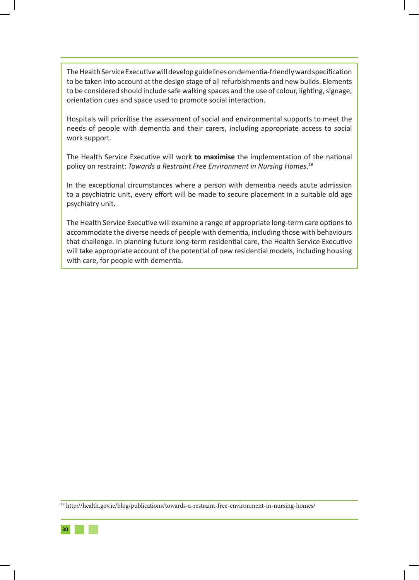The Health Service Executive will develop guidelines on dementia-friendly ward specification to be taken into account at the design stage of all refurbishments and new builds. Elements to be considered should include safe walking spaces and the use of colour, lighting, signage, orientation cues and space used to promote social interaction.

Hospitals will prioritise the assessment of social and environmental supports to meet the needs of people with dementia and their carers, including appropriate access to social work support.

The Health Service Executive will work **to maximise** the implementation of the national policy on restraint: *Towards a Restraint Free Environment in Nursing Homes*. 19

In the exceptional circumstances where a person with dementia needs acute admission to a psychiatric unit, every effort will be made to secure placement in a suitable old age psychiatry unit.

The Health Service Executive will examine a range of appropriate long-term care options to accommodate the diverse needs of people with dementia, including those with behaviours that challenge. In planning future long-term residential care, the Health Service Executive will take appropriate account of the potential of new residential models, including housing with care, for people with dementia.

<sup>19</sup> http://health.gov.ie/blog/publications/towards-a-restraint-free-environment-in-nursing-homes/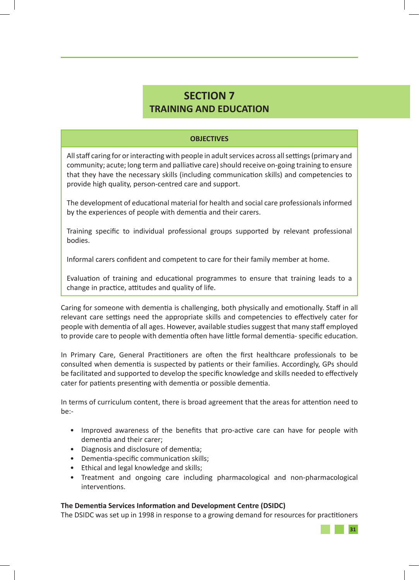## **SECTION 7 TRAINING AND EDUCATION**

#### **OBJECTIVES**

All staff caring for or interacting with people in adult services across all settings (primary and community; acute; long term and palliative care) should receive on-going training to ensure that they have the necessary skills (including communication skills) and competencies to provide high quality, person-centred care and support.

The development of educational material for health and social care professionals informed by the experiences of people with dementia and their carers.

Training specific to individual professional groups supported by relevant professional bodies.

Informal carers confident and competent to care for their family member at home.

Evaluation of training and educational programmes to ensure that training leads to a change in practice, attitudes and quality of life.

Caring for someone with dementia is challenging, both physically and emotionally. Staff in all relevant care settings need the appropriate skills and competencies to effectively cater for people with dementia of all ages. However, available studies suggest that many staff employed to provide care to people with dementia often have little formal dementia- specific education.

In Primary Care, General Practitioners are often the first healthcare professionals to be consulted when dementia is suspected by patients or their families. Accordingly, GPs should be facilitated and supported to develop the specific knowledge and skills needed to effectively cater for patients presenting with dementia or possible dementia.

In terms of curriculum content, there is broad agreement that the areas for attention need to be:-

- Improved awareness of the benefits that pro-active care can have for people with dementia and their carer;
- Diagnosis and disclosure of dementia;
- Dementia-specific communication skills;
- Ethical and legal knowledge and skills;
- Treatment and ongoing care including pharmacological and non-pharmacological interventions.

#### **The Dementia Services Information and Development Centre (DSIDC)**

The DSIDC was set up in 1998 in response to a growing demand for resources for practitioners

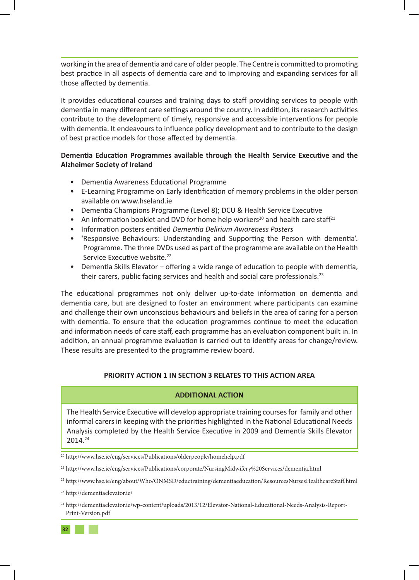working in the area of dementia and care of older people. The Centre is committed to promoting best practice in all aspects of dementia care and to improving and expanding services for all those affected by dementia.

It provides educational courses and training days to staff providing services to people with dementia in many different care settings around the country. In addition, its research activities contribute to the development of timely, responsive and accessible interventions for people with dementia. It endeavours to influence policy development and to contribute to the design of best practice models for those affected by dementia.

## **Dementia Education Programmes available through the Health Service Executive and the Alzheimer Society of Ireland**

- Dementia Awareness Educational Programme
- E-Learning Programme on Early identification of memory problems in the older person available on www.hseland.ie
- Dementia Champions Programme (Level 8); DCU & Health Service Executive
- An information booklet and DVD for home help workers<sup>20</sup> and health care staff<sup>21</sup>
- Information posters entitled *Dementia Delirium Awareness Posters*
- 'Responsive Behaviours: Understanding and Supporting the Person with dementia'. Programme. The three DVDs used as part of the programme are available on the Health Service Executive website.<sup>22</sup>
- Dementia Skills Elevator offering a wide range of education to people with dementia, their carers, public facing services and health and social care professionals.23

The educational programmes not only deliver up-to-date information on dementia and dementia care, but are designed to foster an environment where participants can examine and challenge their own unconscious behaviours and beliefs in the area of caring for a person with dementia. To ensure that the education programmes continue to meet the education and information needs of care staff, each programme has an evaluation component built in. In addition, an annual programme evaluation is carried out to identify areas for change/review. These results are presented to the programme review board.

## **PRIORITY ACTION 1 IN SECTION 3 RELATES TO THIS ACTION AREA**

## **ADDITIONAL ACTION**

The Health Service Executive will develop appropriate training courses for family and other informal carers in keeping with the priorities highlighted in the National Educational Needs Analysis completed by the Health Service Executive in 2009 and Dementia Skills Elevator 2014.24

21 http://www.hse.ie/eng/services/Publications/corporate/NursingMidwifery%20Services/dementia.html

<sup>20</sup> http://www.hse.ie/eng/services/Publications/olderpeople/homehelp.pdf

<sup>22</sup> http://www.hse.ie/eng/about/Who/ONMSD/eductraining/dementiaeducation/ResourcesNursesHealthcareStaff.html

<sup>23</sup> http://dementiaelevator.ie/

<sup>24</sup> http://dementiaelevator.ie/wp-content/uploads/2013/12/Elevator-National-Educational-Needs-Analysis-Report-Print-Version.pdf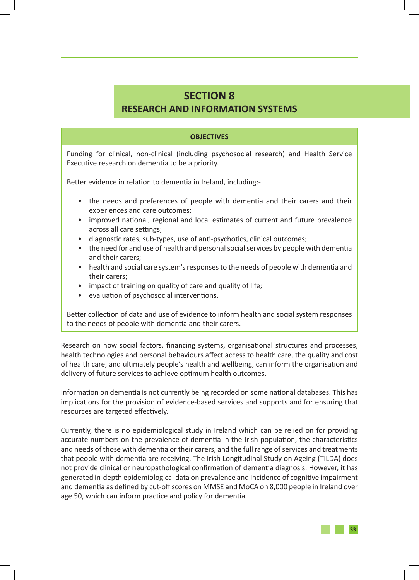## **SECTION 8 RESEARCH AND INFORMATION SYSTEMS**

### **OBJECTIVES**

Funding for clinical, non-clinical (including psychosocial research) and Health Service Executive research on dementia to be a priority.

Better evidence in relation to dementia in Ireland, including:-

- the needs and preferences of people with dementia and their carers and their experiences and care outcomes;
- improved national, regional and local estimates of current and future prevalence across all care settings;
- diagnostic rates, sub-types, use of anti-psychotics, clinical outcomes;
- the need for and use of health and personal social services by people with dementia and their carers;
- health and social care system's responses to the needs of people with dementia and their carers;
- impact of training on quality of care and quality of life;
- evaluation of psychosocial interventions.

Better collection of data and use of evidence to inform health and social system responses to the needs of people with dementia and their carers.

Research on how social factors, financing systems, organisational structures and processes, health technologies and personal behaviours affect access to health care, the quality and cost of health care, and ultimately people's health and wellbeing, can inform the organisation and delivery of future services to achieve optimum health outcomes.

Information on dementia is not currently being recorded on some national databases. This has implications for the provision of evidence-based services and supports and for ensuring that resources are targeted effectively.

Currently, there is no epidemiological study in Ireland which can be relied on for providing accurate numbers on the prevalence of dementia in the Irish population, the characteristics and needs of those with dementia or their carers, and the full range of services and treatments that people with dementia are receiving. The Irish Longitudinal Study on Ageing (TILDA) does not provide clinical or neuropathological confirmation of dementia diagnosis. However, it has generated in-depth epidemiological data on prevalence and incidence of cognitive impairment and dementia as defined by cut-off scores on MMSE and MoCA on 8,000 people in Ireland over age 50, which can inform practice and policy for dementia.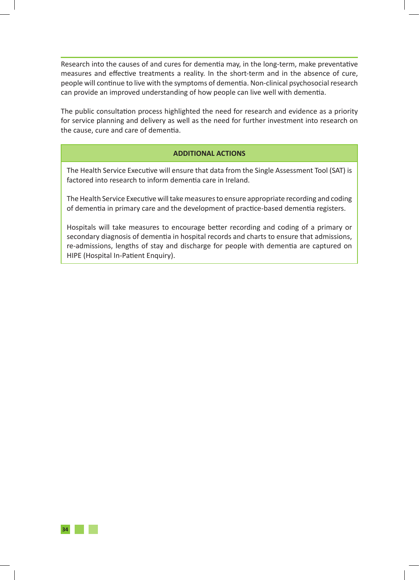Research into the causes of and cures for dementia may, in the long-term, make preventative measures and effective treatments a reality. In the short-term and in the absence of cure, people will continue to live with the symptoms of dementia. Non-clinical psychosocial research can provide an improved understanding of how people can live well with dementia.

The public consultation process highlighted the need for research and evidence as a priority for service planning and delivery as well as the need for further investment into research on the cause, cure and care of dementia.

## **ADDITIONAL ACTIONS**

The Health Service Executive will ensure that data from the Single Assessment Tool (SAT) is factored into research to inform dementia care in Ireland.

The Health Service Executive will take measures to ensure appropriate recording and coding of dementia in primary care and the development of practice-based dementia registers.

Hospitals will take measures to encourage better recording and coding of a primary or secondary diagnosis of dementia in hospital records and charts to ensure that admissions, re-admissions, lengths of stay and discharge for people with dementia are captured on HIPE (Hospital In-Patient Enquiry).

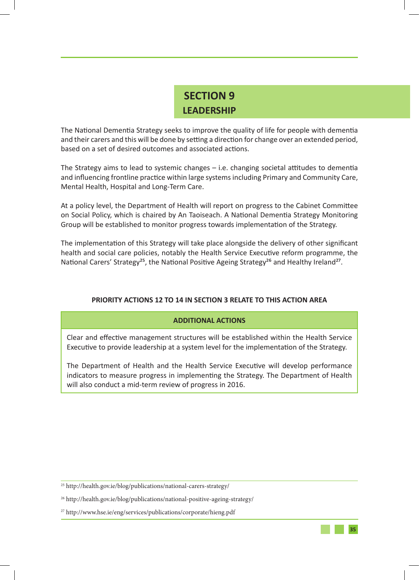## **SECTION 9 LEADERSHIP**

The National Dementia Strategy seeks to improve the quality of life for people with dementia and their carers and this will be done by setting a direction for change over an extended period, based on a set of desired outcomes and associated actions.

The Strategy aims to lead to systemic changes – i.e. changing societal attitudes to dementia and influencing frontline practice within large systems including Primary and Community Care, Mental Health, Hospital and Long-Term Care.

At a policy level, the Department of Health will report on progress to the Cabinet Committee on Social Policy, which is chaired by An Taoiseach. A National Dementia Strategy Monitoring Group will be established to monitor progress towards implementation of the Strategy.

The implementation of this Strategy will take place alongside the delivery of other significant health and social care policies, notably the Health Service Executive reform programme, the National Carers' Strategy<sup>25</sup>, the National Positive Ageing Strategy<sup>26</sup> and Healthy Ireland<sup>27</sup>.

## **PRIORITY ACTIONS 12 TO 14 IN SECTION 3 RELATE TO THIS ACTION AREA**

## **ADDITIONAL ACTIONS**

Clear and effective management structures will be established within the Health Service Executive to provide leadership at a system level for the implementation of the Strategy.

The Department of Health and the Health Service Executive will develop performance indicators to measure progress in implementing the Strategy. The Department of Health will also conduct a mid-term review of progress in 2016.

<sup>25</sup> http://health.gov.ie/blog/publications/national-carers-strategy/

<sup>26</sup> http://health.gov.ie/blog/publications/national-positive-ageing-strategy/

<sup>27</sup> http://www.hse.ie/eng/services/publications/corporate/hieng.pdf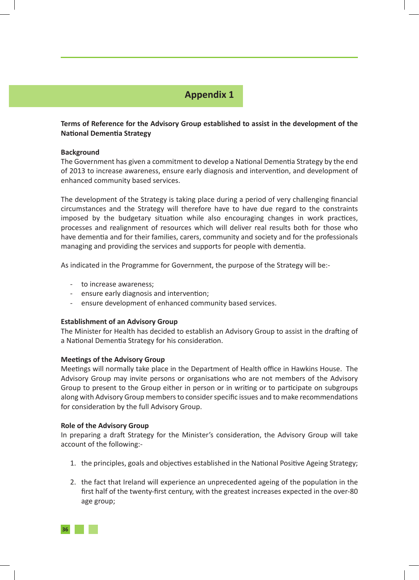## **Appendix 1**

## **Terms of Reference for the Advisory Group established to assist in the development of the National Dementia Strategy**

#### **Background**

The Government has given a commitment to develop a National Dementia Strategy by the end of 2013 to increase awareness, ensure early diagnosis and intervention, and development of enhanced community based services.

The development of the Strategy is taking place during a period of very challenging financial circumstances and the Strategy will therefore have to have due regard to the constraints imposed by the budgetary situation while also encouraging changes in work practices, processes and realignment of resources which will deliver real results both for those who have dementia and for their families, carers, community and society and for the professionals managing and providing the services and supports for people with dementia.

As indicated in the Programme for Government, the purpose of the Strategy will be:-

- to increase awareness;
- ensure early diagnosis and intervention;
- ensure development of enhanced community based services.

#### **Establishment of an Advisory Group**

The Minister for Health has decided to establish an Advisory Group to assist in the drafting of a National Dementia Strategy for his consideration.

#### **Meetings of the Advisory Group**

Meetings will normally take place in the Department of Health office in Hawkins House. The Advisory Group may invite persons or organisations who are not members of the Advisory Group to present to the Group either in person or in writing or to participate on subgroups along with Advisory Group members to consider specific issues and to make recommendations for consideration by the full Advisory Group.

#### **Role of the Advisory Group**

In preparing a draft Strategy for the Minister's consideration, the Advisory Group will take account of the following:-

- 1. the principles, goals and objectives established in the National Positive Ageing Strategy;
- 2. the fact that Ireland will experience an unprecedented ageing of the population in the first half of the twenty-first century, with the greatest increases expected in the over-80 age group;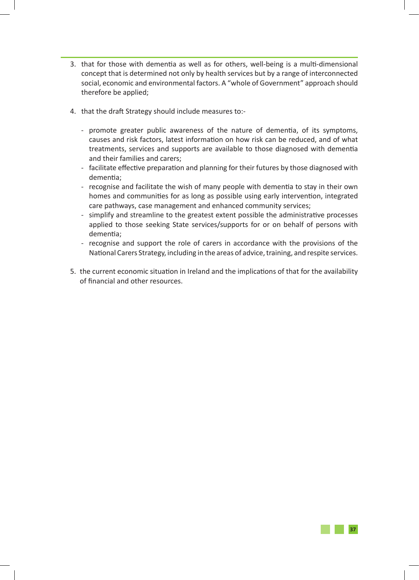- 3. that for those with dementia as well as for others, well-being is a multi-dimensional concept that is determined not only by health services but by a range of interconnected social, economic and environmental factors. A "whole of Government" approach should therefore be applied;
- 4. that the draft Strategy should include measures to:-
	- promote greater public awareness of the nature of dementia, of its symptoms, causes and risk factors, latest information on how risk can be reduced, and of what treatments, services and supports are available to those diagnosed with dementia and their families and carers;
	- facilitate effective preparation and planning for their futures by those diagnosed with dementia;
	- recognise and facilitate the wish of many people with dementia to stay in their own homes and communities for as long as possible using early intervention, integrated care pathways, case management and enhanced community services;
	- simplify and streamline to the greatest extent possible the administrative processes applied to those seeking State services/supports for or on behalf of persons with dementia;
	- recognise and support the role of carers in accordance with the provisions of the National Carers Strategy, including in the areas of advice, training, and respite services.
- 5. the current economic situation in Ireland and the implications of that for the availability of financial and other resources.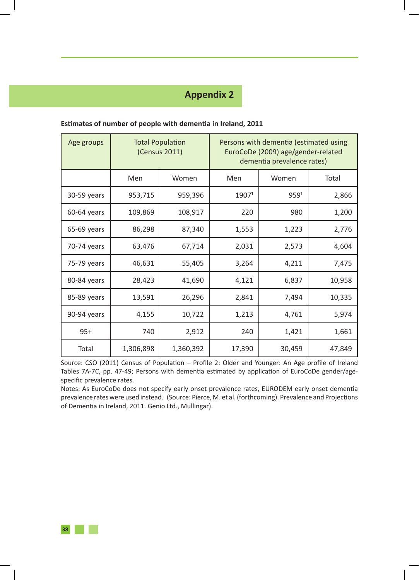## **Appendix 2**

| Age groups  |           | <b>Total Population</b><br>(Census 2011) | Persons with dementia (estimated using<br>EuroCoDe (2009) age/gender-related<br>dementia prevalence rates) |                  |        |  |
|-------------|-----------|------------------------------------------|------------------------------------------------------------------------------------------------------------|------------------|--------|--|
|             | Men       | Women                                    | Men                                                                                                        | Women            | Total  |  |
| 30-59 years | 953,715   | 959,396                                  | 1907 <sup>1</sup>                                                                                          | 959 <sup>1</sup> | 2,866  |  |
| 60-64 years | 109,869   | 108,917                                  | 220                                                                                                        | 980              | 1,200  |  |
| 65-69 years | 86,298    | 87,340                                   | 1,553                                                                                                      | 1,223            | 2,776  |  |
| 70-74 years | 63,476    | 67,714                                   | 2,031                                                                                                      | 2,573            | 4,604  |  |
| 75-79 years | 46,631    | 55,405                                   | 3,264                                                                                                      | 4,211            | 7,475  |  |
| 80-84 years | 28,423    | 41,690                                   | 4,121                                                                                                      | 6,837            | 10,958 |  |
| 85-89 years | 13,591    | 26,296                                   | 2,841                                                                                                      | 7,494            | 10,335 |  |
| 90-94 years | 4,155     | 10,722                                   | 1,213                                                                                                      | 4,761            | 5,974  |  |
| $95+$       | 740       | 2,912                                    | 240                                                                                                        | 1,421            | 1,661  |  |
| Total       | 1,306,898 | 1,360,392                                | 17,390                                                                                                     | 30,459           | 47,849 |  |

#### **Estimates of number of people with dementia in Ireland, 2011**

Source: CSO (2011) Census of Population – Profile 2: Older and Younger: An Age profile of Ireland Tables 7A-7C, pp. 47-49; Persons with dementia estimated by application of EuroCoDe gender/agespecific prevalence rates.

Notes: As EuroCoDe does not specify early onset prevalence rates, EURODEM early onset dementia prevalence rates were used instead. (Source: Pierce, M. et al. (forthcoming). Prevalence and Projections of Dementia in Ireland, 2011. Genio Ltd., Mullingar).